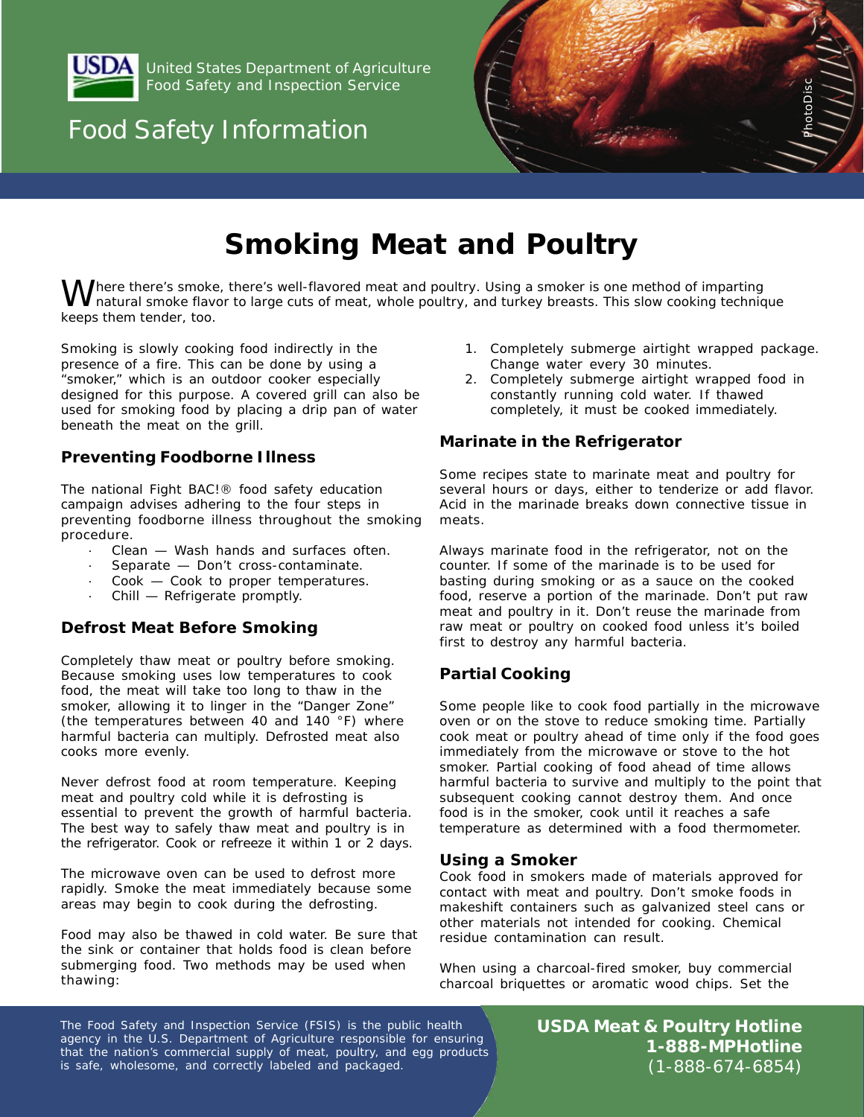

Food Safety and Inspection Service United States Department of Agriculture

# & Boating Food Safety Information



# **Smoking Meat and Poultry**

*Mere there's smoke, there's well-flavored meat and poultry. Using a smoker is one method of imparting*<br>*Inatural smoke flavor to large cuts of meat, whole poultry, and turkey breasts. This slow cooking technique keeps them tender, too.*

Smoking is slowly cooking food indirectly in the presence of a fire. This can be done by using a "smoker," which is an outdoor cooker especially designed for this purpose. A covered grill can also be used for smoking food by placing a drip pan of water beneath the meat on the grill.

## **Preventing Foodborne Illness**

The national Fight BAC!® food safety education campaign advises adhering to the four steps in preventing foodborne illness throughout the smoking procedure.

- Clean Wash hands and surfaces often.
- Separate Don't cross-contaminate.
- Cook Cook to proper temperatures.
- · Chill Refrigerate promptly.

### **Defrost Meat Before Smoking**

Completely thaw meat or poultry before smoking. Because smoking uses low temperatures to cook food, the meat will take too long to thaw in the smoker, allowing it to linger in the "Danger Zone" (the temperatures between 40 and 140 °F) where harmful bacteria can multiply. Defrosted meat also cooks more evenly.

Never defrost food at room temperature. Keeping meat and poultry cold while it is defrosting is essential to prevent the growth of harmful bacteria. The best way to safely thaw meat and poultry is in the refrigerator. Cook or refreeze it within 1 or 2 days.

The microwave oven can be used to defrost more rapidly. Smoke the meat immediately because some areas may begin to cook during the defrosting.

Food may also be thawed in cold water. Be sure that the sink or container that holds food is clean before submerging food. Two methods may be used when thawing:

- 1. Completely submerge airtight wrapped package. Change water every 30 minutes.
- 2. Completely submerge airtight wrapped food in constantly running cold water. If thawed completely, it must be cooked immediately.

### **Marinate in the Refrigerator**

Some recipes state to marinate meat and poultry for several hours or days, either to tenderize or add flavor. Acid in the marinade breaks down connective tissue in meats.

Always marinate food in the refrigerator, not on the counter. If some of the marinade is to be used for basting during smoking or as a sauce on the cooked food, reserve a portion of the marinade. Don't put raw meat and poultry in it. Don't reuse the marinade from raw meat or poultry on cooked food unless it's boiled first to destroy any harmful bacteria.

### **Partial Cooking**

Some people like to cook food partially in the microwave oven or on the stove to reduce smoking time. Partially cook meat or poultry ahead of time only if the food goes immediately from the microwave or stove to the hot smoker. Partial cooking of food ahead of time allows harmful bacteria to survive and multiply to the point that subsequent cooking cannot destroy them. And once food is in the smoker, cook until it reaches a safe temperature as determined with a food thermometer.

### **Using a Smoker**

Cook food in smokers made of materials approved for contact with meat and poultry. Don't smoke foods in makeshift containers such as galvanized steel cans or other materials not intended for cooking. Chemical residue contamination can result.

When using a charcoal-fired smoker, buy commercial charcoal briquettes or aromatic wood chips. Set the

The Food Safety and Inspection Service (FSIS) is the public health agency in the U.S. Department of Agriculture responsible for ensuring that the nation's commercial supply of meat, poultry, and egg products is safe, wholesome, and correctly labeled and packaged.

**USDA Meat & Poultry Hotline 1-888-MPHotline** (1-888-674-6854)